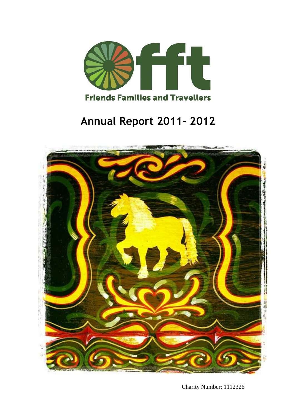

# **Annual Report 2011- 2012**



Charity Number: 1112326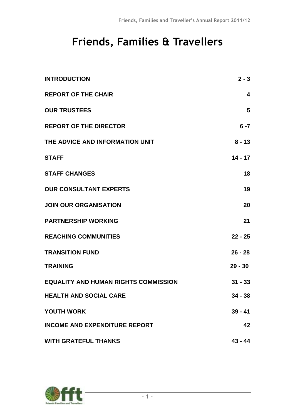# **Friends, Families & Travellers**

| <b>INTRODUCTION</b>                         | $2 - 3$   |
|---------------------------------------------|-----------|
| <b>REPORT OF THE CHAIR</b>                  | 4         |
| <b>OUR TRUSTEES</b>                         | 5         |
| <b>REPORT OF THE DIRECTOR</b>               | $6 - 7$   |
| THE ADVICE AND INFORMATION UNIT             | $8 - 13$  |
| <b>STAFF</b>                                | $14 - 17$ |
| <b>STAFF CHANGES</b>                        | 18        |
| <b>OUR CONSULTANT EXPERTS</b>               | 19        |
| <b>JOIN OUR ORGANISATION</b>                | 20        |
| <b>PARTNERSHIP WORKING</b>                  | 21        |
| <b>REACHING COMMUNITIES</b>                 | $22 - 25$ |
| <b>TRANSITION FUND</b>                      | $26 - 28$ |
| <b>TRAINING</b>                             | $29 - 30$ |
| <b>EQUALITY AND HUMAN RIGHTS COMMISSION</b> | $31 - 33$ |
| <b>HEALTH AND SOCIAL CARE</b>               | 34 - 38   |
| <b>YOUTH WORK</b>                           | $39 - 41$ |
| <b>INCOME AND EXPENDITURE REPORT</b>        | 42        |
| <b>WITH GRATEFUL THANKS</b>                 | $43 - 44$ |

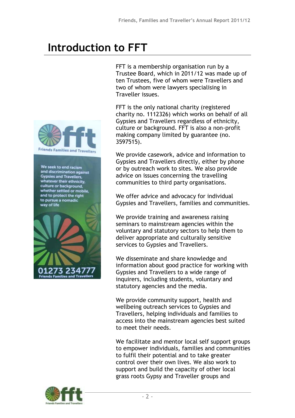# **Introduction to FFT**



We seek to end racism and discrimination against **Gypsies and Travellers** whatever their ethnicity,<br>culture or background, whether settled or mobile, and to protect the right to pursue a nomadic way of life



FFT is a membership organisation run by a Trustee Board, which in 2011/12 was made up of ten Trustees, five of whom were Travellers and two of whom were lawyers specialising in Traveller issues.

FFT is the only national charity (registered charity no. 1112326) which works on behalf of all Gypsies and Travellers regardless of ethnicity, culture or background. FFT is also a non-profit making company limited by guarantee (no. 3597515).

We provide casework, advice and information to Gypsies and Travellers directly, either by phone or by outreach work to sites. We also provide advice on issues concerning the travelling communities to third party organisations.

We offer advice and advocacy for individual Gypsies and Travellers, families and communities.

We provide training and awareness raising seminars to mainstream agencies within the voluntary and statutory sectors to help them to deliver appropriate and culturally sensitive services to Gypsies and Travellers.

We disseminate and share knowledge and information about good practice for working with Gypsies and Travellers to a wide range of inquirers, including students, voluntary and statutory agencies and the media.

We provide community support, health and wellbeing outreach services to Gypsies and Travellers, helping individuals and families to access into the mainstream agencies best suited to meet their needs.

We facilitate and mentor local self support groups to empower individuals, families and communities to fulfil their potential and to take greater control over their own lives. We also work to support and build the capacity of other local grass roots Gypsy and Traveller groups and

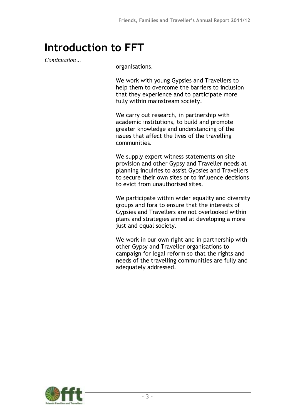# **Introduction to FFT**

*Continuation…*

organisations.

We work with young Gypsies and Travellers to help them to overcome the barriers to inclusion that they experience and to participate more fully within mainstream society.

We carry out research, in partnership with academic institutions, to build and promote greater knowledge and understanding of the issues that affect the lives of the travelling communities.

We supply expert witness statements on site provision and other Gypsy and Traveller needs at planning inquiries to assist Gypsies and Travellers to secure their own sites or to influence decisions to evict from unauthorised sites.

We participate within wider equality and diversity groups and fora to ensure that the interests of Gypsies and Travellers are not overlooked within plans and strategies aimed at developing a more just and equal society.

We work in our own right and in partnership with other Gypsy and Traveller organisations to campaign for legal reform so that the rights and needs of the travelling communities are fully and adequately addressed.

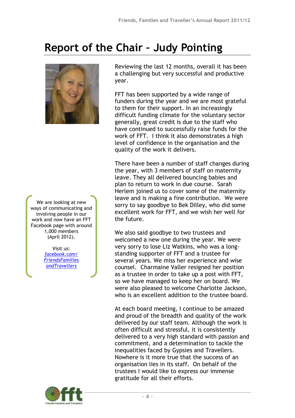# **Report of the Chair – Judy Pointing**



We are looking at new ways of communicating and involving people in our work and now have an FFT Facebook page with around 1,000 members (April 2012).

> Visit us: *[facebook.com/](http://www.facebook.com/FriendsFamiliesandTravellers) [FriendsFamilies](http://www.facebook.com/FriendsFamiliesandTravellers) [andTravellers](http://www.facebook.com/FriendsFamiliesandTravellers)*

Reviewing the last 12 months, overall it has been a challenging but very successful and productive year.

FFT has been supported by a wide range of funders during the year and we are most grateful to them for their support. In an increasingly difficult funding climate for the voluntary sector generally, great credit is due to the staff who have continued to successfully raise funds for the work of FFT. I think it also demonstrates a high level of confidence in the organisation and the quality of the work it delivers.

There have been a number of staff changes during the year, with 3 members of staff on maternity leave. They all delivered bouncing babies and plan to return to work in due course. Sarah Herlem joined us to cover some of the maternity leave and is making a fine contribution. We were sorry to say goodbye to Bek Dilley, who did some excellent work for FFT, and we wish her well for the future.

We also said goodbye to two trustees and welcomed a new one during the year. We were very sorry to lose Liz Watkins, who was a longstanding supporter of FFT and a trustee for several years. We miss her experience and wise counsel. Charmaine Valler resigned her position as a trustee in order to take up a post with FFT, so we have managed to keep her on board. We were also pleased to welcome Charlotte Jackson, who is an excellent addition to the trustee board.

At each board meeting, I continue to be amazed and proud of the breadth and quality of the work delivered by our staff team. Although the work is often difficult and stressful, it is consistently delivered to a very high standard with passion and commitment, and a determination to tackle the inequalities faced by Gypsies and Travellers. Nowhere is it more true that the success of an organisation lies in its staff. On behalf of the trustees I would like to express our immense gratitude for all their efforts.

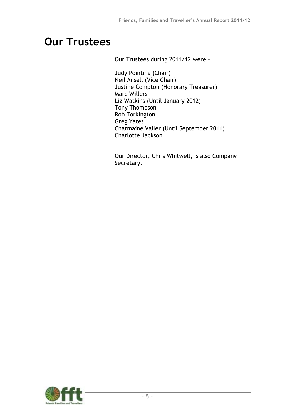# **Our Trustees**

Our Trustees during 2011/12 were –

Judy Pointing (Chair) Neil Ansell (Vice Chair) Justine Compton (Honorary Treasurer) Marc Willers Liz Watkins (Until January 2012) Tony Thompson Rob Torkington Greg Yates Charmaine Valler (Until September 2011) Charlotte Jackson

Our Director, Chris Whitwell, is also Company Secretary.

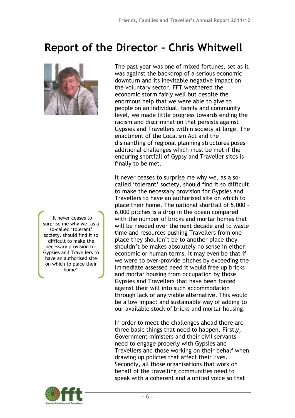# **Report of the Director – Chris Whitwell**



"It never ceases to surprise me why we, as a so-called 'tolerant' society, should find it so difficult to make the necessary provision for Gypsies and Travellers to have an authorised site on which to place their home"

The past year was one of mixed fortunes, set as it was against the backdrop of a serious economic downturn and its inevitable negative impact on the voluntary sector. FFT weathered the economic storm fairly well but despite the enormous help that we were able to give to people on an individual, family and community level, we made little progress towards ending the racism and discrimination that persists against Gypsies and Travellers within society at large. The enactment of the Localism Act and the dismantling of regional planning structures poses additional challenges which must be met if the enduring shortfall of Gypsy and Traveller sites is finally to be met.

It never ceases to surprise me why we, as a socalled 'tolerant' society, should find it so difficult to make the necessary provision for Gypsies and Travellers to have an authorised site on which to place their home. The national shortfall of 5,000 – 6,000 pitches is a drop in the ocean compared with the number of bricks and mortar homes that will be needed over the next decade and to waste time and resources pushing Travellers from one place they shouldn't be to another place they shouldn't be makes absolutely no sense in either economic or human terms. It may even be that if we were to over-provide pitches by exceeding the immediate assessed need it would free up bricks and mortar housing from occupation by those Gypsies and Travellers that have been forced against their will into such accommodation through lack of any viable alternative. This would a be a low impact and sustainable way of adding to our available stock of bricks and mortar housing.

In order to meet the challenges ahead there are three basic things that need to happen. Firstly, Government ministers and their civil servants need to engage properly with Gypsies and k Travellers and those working on their behalf when drawing up policies that affect their lives. n Secondly, all those organisations that work on behalf of the travelling communities need to speak with a coherent and a united voice so that a

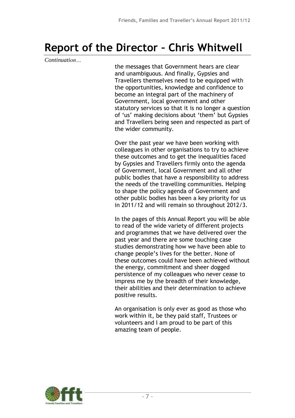# **Report of the Director – Chris Whitwell**

*Continuation…*

the messages that Government hears are clear and unambiguous. And finally, Gypsies and Travellers themselves need to be equipped with the opportunities, knowledge and confidence to become an integral part of the machinery of Government, local government and other statutory services so that it is no longer a question of 'us' making decisions about 'them' but Gypsies and Travellers being seen and respected as part of the wider community.

Over the past year we have been working with colleagues in other organisations to try to achieve these outcomes and to get the inequalities faced by Gypsies and Travellers firmly onto the agenda of Government, local Government and all other public bodies that have a responsibility to address the needs of the travelling communities. Helping to shape the policy agenda of Government and other public bodies has been a key priority for us in 2011/12 and will remain so throughout 2012/3.

In the pages of this Annual Report you will be able to read of the wide variety of different projects and programmes that we have delivered over the past year and there are some touching case studies demonstrating how we have been able to change people's lives for the better. None of these outcomes could have been achieved without the energy, commitment and sheer dogged persistence of my colleagues who never cease to impress me by the breadth of their knowledge, their abilities and their determination to achieve positive results.

An organisation is only ever as good as those who work within it, be they paid staff, Trustees or volunteers and I am proud to be part of this amazing team of people.

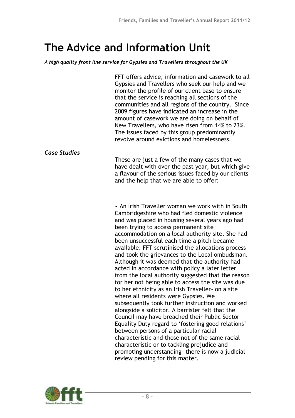*A high quality front line service for Gypsies and Travellers throughout the UK*

FFT offers advice, information and casework to all Gypsies and Travellers who seek our help and we monitor the profile of our client base to ensure that the service is reaching all sections of the communities and all regions of the country. Since 2009 figures have indicated an increase in the amount of casework we are doing on behalf of New Travellers, who have risen from 14% to 23%. The issues faced by this group predominantly revolve around evictions and homelessness.

*Case Studies*

These are just a few of the many cases that we have dealt with over the past year, but which give a flavour of the serious issues faced by our clients and the help that we are able to offer:

• An Irish Traveller woman we work with in South Cambridgeshire who had fled domestic violence and was placed in housing several years ago had been trying to access permanent site accommodation on a local authority site. She had been unsuccessful each time a pitch became available. FFT scrutinised the allocations process and took the grievances to the Local ombudsman. Although it was deemed that the authority had acted in accordance with policy a later letter from the local authority suggested that the reason for her not being able to access the site was due to her ethnicity as an Irish Traveller- on a site where all residents were Gypsies. We subsequently took further instruction and worked alongside a solicitor. A barrister felt that the Council may have breached their Public Sector Equality Duty regard to 'fostering good relations' between persons of a particular racial characteristic and those not of the same racial characteristic or to tackling prejudice and promoting understanding- there is now a judicial review pending for this matter.

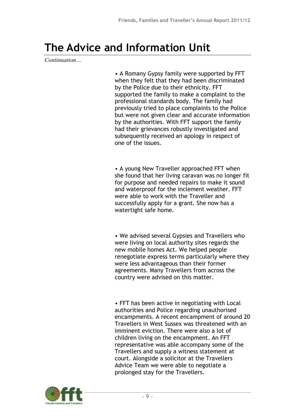*Continuation…*

• A Romany Gypsy family were supported by FFT when they felt that they had been discriminated by the Police due to their ethnicity. FFT supported the family to make a complaint to the professional standards body. The family had previously tried to place complaints to the Police but were not given clear and accurate information by the authorities. With FFT support the family had their grievances robustly investigated and subsequently received an apology in respect of one of the issues.

• A young New Traveller approached FFT when she found that her living caravan was no longer fit for purpose and needed repairs to make it sound and waterproof for the inclement weather. FFT were able to work with the Traveller and successfully apply for a grant. She now has a watertight safe home.

• We advised several Gypsies and Travellers who were living on local authority sites regards the new mobile homes Act. We helped people renegotiate express terms particularly where they were less advantageous than their former agreements. Many Travellers from across the country were advised on this matter.

• FFT has been active in negotiating with Local authorities and Police regarding unauthorised encampments. A recent encampment of around 20 Travellers in West Sussex was threatened with an imminent eviction. There were also a lot of children living on the encampment. An FFT representative was able accompany some of the Travellers and supply a witness statement at court. Alongside a solicitor at the Travellers Advice Team we were able to negotiate a prolonged stay for the Travellers.

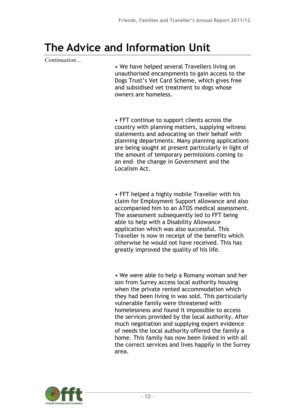#### *Continuation…*

• We have helped several Travellers living on unauthorised encampments to gain access to the Dogs Trust's Vet Card Scheme, which gives free and subsidised vet treatment to dogs whose owners are homeless.

• FFT continue to support clients across the country with planning matters, supplying witness statements and advocating on their behalf with planning departments. Many planning applications are being sought at present particularly in light of the amount of temporary permissions coming to an end- the change in Government and the Localism Act.

• FFT helped a highly mobile Traveller with his claim for Employment Support allowance and also accompanied him to an ATOS medical assessment. The assessment subsequently led to FFT being able to help with a Disability Allowance application which was also successful. This Traveller is now in receipt of the benefits which otherwise he would not have received. This has greatly improved the quality of his life.

• We were able to help a Romany woman and her son from Surrey access local authority housing when the private rented accommodation which they had been living in was sold. This particularly vulnerable family were threatened with homelessness and found it impossible to access the services provided by the local authority. After much negotiation and supplying expert evidence of needs the local authority offered the family a home. This family has now been linked in with all the correct services and lives happily in the Surrey area.

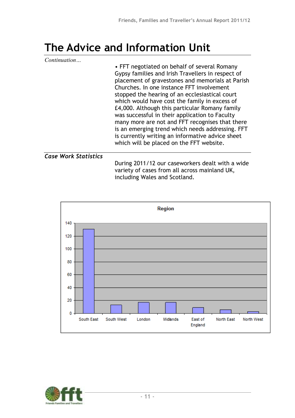| Continuation                | • FFT negotiated on behalf of several Romany<br>Gypsy families and Irish Travellers in respect of<br>placement of gravestones and memorials at Parish<br>Churches. In one instance FFT involvement<br>stopped the hearing of an ecclesiastical court<br>which would have cost the family in excess of<br>£4,000. Although this particular Romany family<br>was successful in their application to Faculty<br>many more are not and FFT recognises that there<br>is an emerging trend which needs addressing. FFT<br>is currently writing an informative advice sheet<br>which will be placed on the FFT website. |
|-----------------------------|------------------------------------------------------------------------------------------------------------------------------------------------------------------------------------------------------------------------------------------------------------------------------------------------------------------------------------------------------------------------------------------------------------------------------------------------------------------------------------------------------------------------------------------------------------------------------------------------------------------|
| <b>Case Work Statistics</b> | During 2011/12 our caseworkers dealt with a wide                                                                                                                                                                                                                                                                                                                                                                                                                                                                                                                                                                 |

variety of cases from all across mainland UK, including Wales and Scotland.



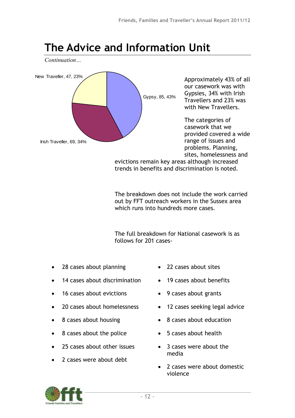*Continuation…*



The breakdown does not include the work carried out by FFT outreach workers in the Sussex area which runs into hundreds more cases.

The full breakdown for National casework is as follows for 201 cases-

- 28 cases about planning
- 14 cases about discrimination
- 16 cases about evictions
- 20 cases about homelessness
- 8 cases about housing
- 8 cases about the police
- 25 cases about other issues
- 2 cases were about debt
- 22 cases about sites
- 19 cases about benefits
- 9 cases about grants
- 12 cases seeking legal advice
- 8 cases about education
- 5 cases about health
- 3 cases were about the media
- 2 cases were about domestic violence

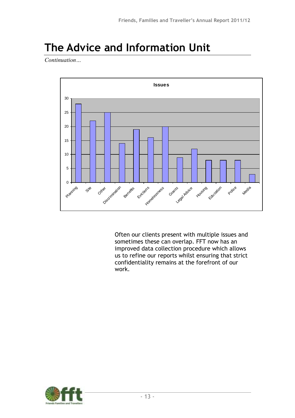*Continuation…*



Often our clients present with multiple issues and sometimes these can overlap. FFT now has an improved data collection procedure which allows us to refine our reports whilst ensuring that strict confidentiality remains at the forefront of our work.

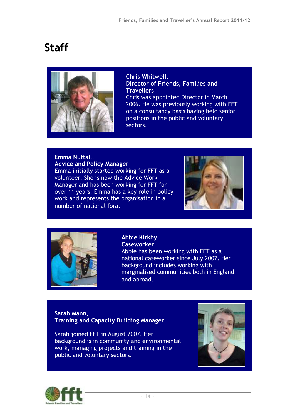

**Chris Whitwell, Director of Friends, Families and Travellers** Chris was appointed Director in March 2006. He was previously working with FFT on a consultancy basis having held senior positions in the public and voluntary sectors.

### **Emma Nuttall, Advice and Policy Manager**

Emma initially started working for FFT as a volunteer. She is now the Advice Work Manager and has been working for FFT for over 11 years. Emma has a key role in policy work and represents the organisation in a number of national fora.





#### **Abbie Kirkby Caseworker** Abbie has been working with FFT as a national caseworker since July 2007. Her background includes working with marginalised communities both in England and abroad.

#### **Sarah Mann, Training and Capacity Building Manager**

Sarah joined FFT in August 2007. Her background is in community and environmental work, managing projects and training in the public and voluntary sectors.



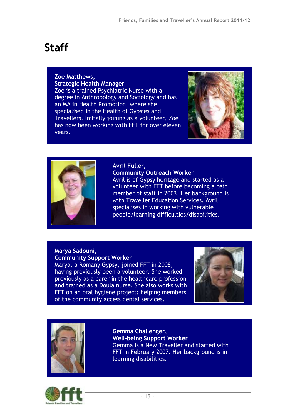#### **Zoe Matthews, Strategic Health Manager**

Zoe is a trained Psychiatric Nurse with a degree in Anthropology and Sociology and has an MA in Health Promotion, where she specialised in the Health of Gypsies and Travellers. Initially joining as a volunteer, Zoe has now been working with FFT for over eleven years.





#### **Avril Fuller,**

**Community Outreach Worker** Avril is of Gypsy heritage and started as a volunteer with FFT before becoming a paid member of staff in 2003. Her background is with Traveller Education Services. Avril specialises in working with vulnerable people/learning difficulties/disabilities.

#### **Marya Sadouni, Community Support Worker**

Marya, a Romany Gypsy, joined FFT in 2008, having previously been a volunteer. She worked previously as a carer in the healthcare profession and trained as a Doula nurse. She also works with FFT on an oral hygiene project: helping members of the community access dental services.





**Gemma Challenger, Well-being Support Worker** Gemma is a New Traveller and started with FFT in February 2007. Her background is in learning disabilities.

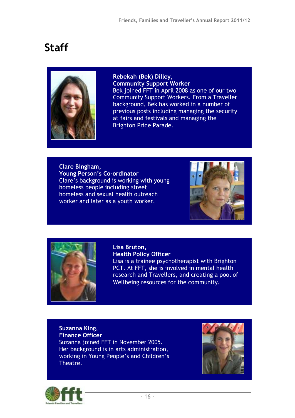

**Rebekah (Bek) Dilley, Community Support Worker** Bek joined FFT in April 2008 as one of our two Community Support Workers. From a Traveller background, Bek has worked in a number of previous posts including managing the security at fairs and festivals and managing the Brighton Pride Parade.

**Clare Bingham, Young Person's Co-ordinator** Clare's background is working with young homeless people including street homeless and sexual health outreach worker and later as a youth worker.





**Lisa Bruton, Health Policy Officer**

Lisa is a trainee psychotherapist with Brighton PCT. At FFT, she is involved in mental health research and Travellers, and creating a pool of Wellbeing resources for the community.

**Suzanna King, Finance Officer** Suzanna joined FFT in November 2005. Her background is in arts administration, working in Young People's and Children's Theatre.



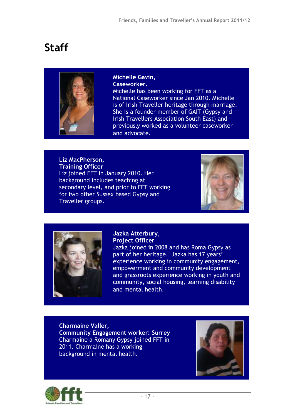

**Michelle Gavin, Caseworker.** Michelle has been working for FFT as a National Caseworker since Jan 2010. Michelle is of Irish Traveller heritage through marriage. She is a founder member of GAIT (Gypsy and Irish Travellers Association South East) and previously worked as a volunteer caseworker and advocate.

#### **Liz MacPherson, Training Officer** Liz joined FFT in January 2010. Her background includes teaching at secondary level, and prior to FFT working for two other Sussex based Gypsy and Traveller groups.





#### **Jazka Atterbury, Project Officer**

Jazka joined in 2008 and has Roma Gypsy as part of her heritage. Jazka has 17 years' experience working in community engagement, empowerment and community development and grassroots experience working in youth and community, social housing, learning disability and mental health.

**Charmaine Valler, Community Engagement worker: Surrey** Charmaine a Romany Gypsy joined FFT in 2011. Charmaine has a working background in mental health.



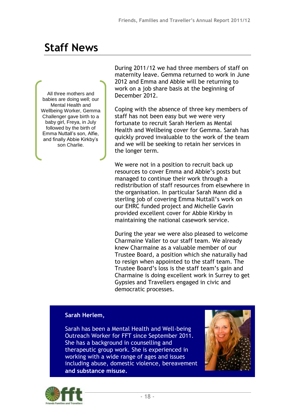## **Staff News**

All three mothers and babies are doing well; our Mental Health and Wellbeing Worker, Gemma Challenger gave birth to a baby girl, Freya, in July followed by the birth of Emma Nuttall's son, Alfie, and finally Abbie Kirkby's son Charlie.

During 2011/12 we had three members of staff on maternity leave. Gemma returned to work in June 2012 and Emma and Abbie will be returning to work on a job share basis at the beginning of December 2012.

Coping with the absence of three key members of staff has not been easy but we were very fortunate to recruit Sarah Herlem as Mental Health and Wellbeing cover for Gemma. Sarah has quickly proved invaluable to the work of the team and we will be seeking to retain her services in the longer term.

We were not in a position to recruit back up resources to cover Emma and Abbie's posts but managed to continue their work through a redistribution of staff resources from elsewhere in the organisation. In particular Sarah Mann did a sterling job of covering Emma Nuttall's work on our EHRC funded project and Michelle Gavin provided excellent cover for Abbie Kirkby in maintaining the national casework service.

During the year we were also pleased to welcome Charmaine Valler to our staff team. We already knew Charmaine as a valuable member of our Trustee Board, a position which she naturally had to resign when appointed to the staff team. The Trustee Board's loss is the staff team's gain and Charmaine is doing excellent work in Surrey to get Gypsies and Travellers engaged in civic and democratic processes.

#### **Sarah Herlem,**

Sarah has been a Mental Health and Well-being Outreach Worker for FFT since September 2011. o She has a background in counselling and f therapeutic group work. She is experienced in working with a wide range of ages and issues including abuse, domestic violence, bereavement **and substance misuse.** m

w

m

n



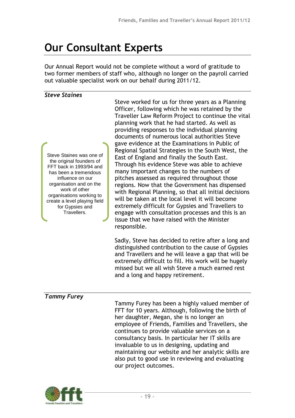# **Our Consultant Experts**

Our Annual Report would not be complete without a word of gratitude to two former members of staff who, although no longer on the payroll carried out valuable specialist work on our behalf during 2011/12.

#### *Steve Staines*

Steve Staines was one of the original founders of FFT back in 1993/94 and has been a tremendous influence on our organisation and on the work of other organisations working to create a level playing field for Gypsies and Travellers.

Steve worked for us for three years as a Planning Officer, following which he was retained by the Traveller Law Reform Project to continue the vital planning work that he had started. As well as providing responses to the individual planning documents of numerous local authorities Steve gave evidence at the Examinations in Public of Regional Spatial Strategies in the South West, the East of England and finally the South East. Through his evidence Steve was able to achieve many important changes to the numbers of pitches assessed as required throughout those regions. Now that the Government has dispensed with Regional Planning, so that all initial decisions will be taken at the local level it will become extremely difficult for Gypsies and Travellers to engage with consultation processes and this is an issue that we have raised with the Minister responsible.

Sadly, Steve has decided to retire after a long and distinguished contribution to the cause of Gypsies and Travellers and he will leave a gap that will be extremely difficult to fill. His work will be hugely missed but we all wish Steve a much earned rest and a long and happy retirement.

### *Tammy Furey*

Tammy Furey has been a highly valued member of FFT for 10 years. Although, following the birth of her daughter, Megan, she is no longer an employee of Friends, Families and Travellers, she continues to provide valuable services on a consultancy basis. In particular her IT skills are invaluable to us in designing, updating and maintaining our website and her analytic skills are also put to good use in reviewing and evaluating our project outcomes.

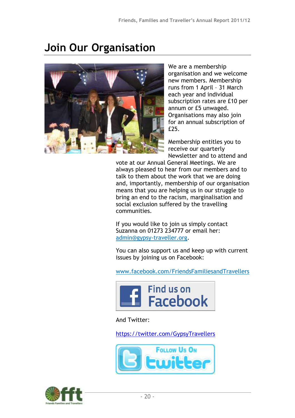# **Join Our Organisation**



We are a membership organisation and we welcome new members. Membership runs from 1 April – 31 March each year and individual subscription rates are £10 per annum or £5 unwaged. Organisations may also join for an annual subscription of £25.

Membership entitles you to receive our quarterly Newsletter and to attend and

vote at our Annual General Meetings. We are always pleased to hear from our members and to talk to them about the work that we are doing and, importantly, membership of our organisation means that you are helping us in our struggle to bring an end to the racism, marginalisation and social exclusion suffered by the travelling communities.

If you would like to join us simply contact Suzanna on 01273 234777 or email her: [admin@gypsy-traveller.org.](mailto:admin@gypsy-traveller.org)

You can also support us and keep up with current issues by joining us on Facebook:

[www.facebook.com/FriendsFamiliesandTravellers](http://www.facebook.com/FriendsFamiliesandTravellers)



And Twitter:

<https://twitter.com/GypsyTravellers>



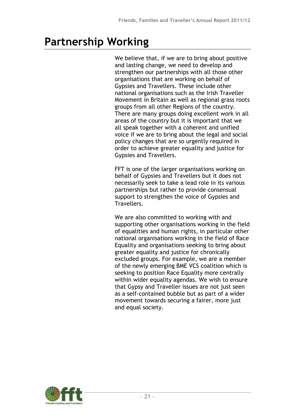# **Partnership Working**

We believe that, if we are to bring about positive and lasting change, we need to develop and strengthen our partnerships with all those other organisations that are working on behalf of Gypsies and Travellers. These include other national organisations such as the Irish Traveller Movement in Britain as well as regional grass roots groups from all other Regions of the country. There are many groups doing excellent work in all areas of the country but it is important that we all speak together with a coherent and unified voice if we are to bring about the legal and social policy changes that are so urgently required in order to achieve greater equality and justice for Gypsies and Travellers.

FFT is one of the larger organisations working on behalf of Gypsies and Travellers but it does not necessarily seek to take a lead role in its various partnerships but rather to provide consensual support to strengthen the voice of Gypsies and Travellers.

We are also committed to working with and supporting other organisations working in the field of equalities and human rights, in particular other national organisations working in the field of Race Equality and organisations seeking to bring about greater equality and justice for chronically excluded groups. For example, we are a member of the newly emerging BME VCS coalition which is seeking to position Race Equality more centrally within wider equality agendas. We wish to ensure that Gypsy and Traveller issues are not just seen as a self-contained bubble but as part of a wider movement towards securing a fairer, more just and equal society.

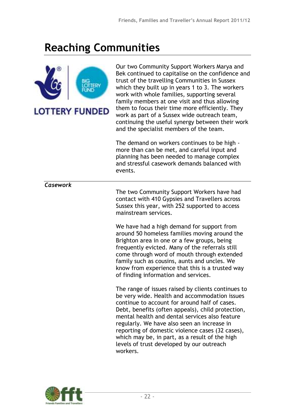

Our two Community Support Workers Marya and Bek continued to capitalise on the confidence and trust of the travelling Communities in Sussex which they built up in years 1 to 3. The workers work with whole families, supporting several family members at one visit and thus allowing them to focus their time more efficiently. They work as part of a Sussex wide outreach team, continuing the useful synergy between their work and the specialist members of the team.

The demand on workers continues to be high more than can be met, and careful input and planning has been needed to manage complex and stressful casework demands balanced with events.

*Casework*

The two Community Support Workers have had contact with 410 Gypsies and Travellers across Sussex this year, with 252 supported to access mainstream services.

We have had a high demand for support from around 50 homeless families moving around the Brighton area in one or a few groups, being frequently evicted. Many of the referrals still come through word of mouth through extended family such as cousins, aunts and uncles. We know from experience that this is a trusted way of finding information and services.

The range of issues raised by clients continues to be very wide. Health and accommodation issues continue to account for around half of cases. Debt, benefits (often appeals), child protection, mental health and dental services also feature regularly. We have also seen an increase in reporting of domestic violence cases (32 cases), which may be, in part, as a result of the high levels of trust developed by our outreach workers.

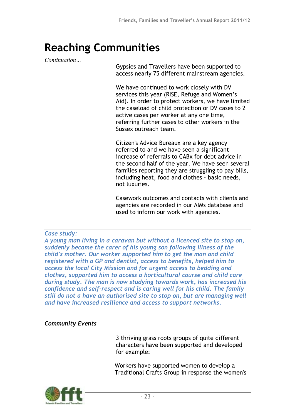*Continuation…*

Gypsies and Travellers have been supported to access nearly 75 different mainstream agencies.

We have continued to work closely with DV services this year (RISE, Refuge and Women's Aid). In order to protect workers, we have limited the caseload of child protection or DV cases to 2 active cases per worker at any one time, referring further cases to other workers in the Sussex outreach team.

Citizen's Advice Bureaux are a key agency referred to and we have seen a significant increase of referrals to CABx for debt advice in the second half of the year. We have seen several families reporting they are struggling to pay bills, including heat, food and clothes - basic needs, not luxuries.

Casework outcomes and contacts with clients and agencies are recorded in our AIMs database and used to inform our work with agencies.

#### *Case study:*

*A young man living in a caravan but without a licenced site to stop on, suddenly became the carer of his young son following illness of the child's mother. Our worker supported him to get the man and child registered with a GP and dentist, access to benefits, helped him to access the local City Mission and for urgent access to bedding and clothes, supported him to access a horticultural course and child care during study. The man is now studying towards work, has increased his confidence and self-respect and is caring well for his child. The family still do not a have an authorised site to stop on, but are managing well and have increased resilience and access to support networks.*

### *Community Events*

3 thriving grass roots groups of quite different characters have been supported and developed for example:

Workers have supported women to develop a Traditional Crafts Group in response the women's

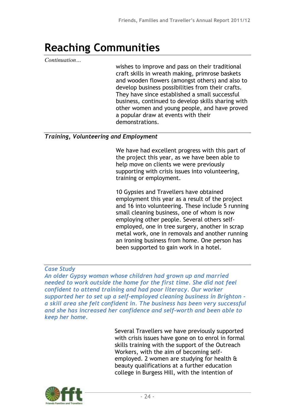*Continuation…*

wishes to improve and pass on their traditional craft skills in wreath making, primrose baskets and wooden flowers (amongst others) and also to develop business possibilities from their crafts. They have since established a small successful business, continued to develop skills sharing with other women and young people, and have proved a popular draw at events with their demonstrations.

#### *Training, Volunteering and Employment*

We have had excellent progress with this part of the project this year, as we have been able to help move on clients we were previously supporting with crisis issues into volunteering, training or employment.

10 Gypsies and Travellers have obtained employment this year as a result of the project and 16 into volunteering. These include 5 running small cleaning business, one of whom is now employing other people. Several others selfemployed, one in tree surgery, another in scrap metal work, one in removals and another running an ironing business from home. One person has been supported to gain work in a hotel.

### *Case Study*

*An older Gypsy woman whose children had grown up and married needed to work outside the home for the first time. She did not feel confident to attend training and had poor literacy. Our worker supported her to set up a self-employed cleaning business in Brighton a skill area she felt confident in. The business has been very successful and she has increased her confidence and self-worth and been able to keep her home.*

> Several Travellers we have previously supported with crisis issues have gone on to enrol in formal skills training with the support of the Outreach Workers, with the aim of becoming selfemployed. 2 women are studying for health & beauty qualifications at a further education college in Burgess Hill, with the intention of

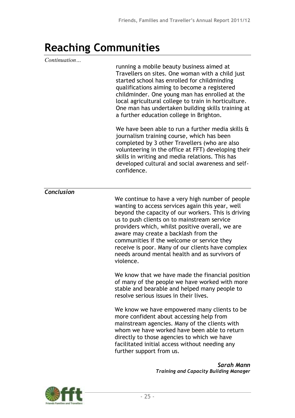| Continuation | running a mobile beauty business aimed at<br>Travellers on sites. One woman with a child just<br>started school has enrolled for childminding<br>qualifications aiming to become a registered<br>childminder. One young man has enrolled at the<br>local agricultural college to train in horticulture.<br>One man has undertaken building skills training at<br>a further education college in Brighton.<br>We have been able to run a further media skills &           |
|--------------|--------------------------------------------------------------------------------------------------------------------------------------------------------------------------------------------------------------------------------------------------------------------------------------------------------------------------------------------------------------------------------------------------------------------------------------------------------------------------|
|              | journalism training course, which has been<br>completed by 3 other Travellers (who are also<br>volunteering in the office at FFT) developing their<br>skills in writing and media relations. This has<br>developed cultural and social awareness and self-<br>confidence.                                                                                                                                                                                                |
| Conclusion   | We continue to have a very high number of people<br>wanting to access services again this year, well<br>beyond the capacity of our workers. This is driving<br>us to push clients on to mainstream service<br>providers which, whilst positive overall, we are<br>aware may create a backlash from the<br>communities if the welcome or service they<br>receive is poor. Many of our clients have complex<br>needs around mental health and as survivors of<br>violence. |
|              | We know that we have made the financial position<br>of many of the people we have worked with more<br>stable and bearable and helped many people to<br>resolve serious issues in their lives.                                                                                                                                                                                                                                                                            |
|              | We know we have empowered many clients to be<br>more confident about accessing help from<br>mainstream agencies. Many of the clients with<br>whom we have worked have been able to return<br>directly to those agencies to which we have<br>facilitated initial access without needing any<br>further support from us.                                                                                                                                                   |
|              | Sarah Mann                                                                                                                                                                                                                                                                                                                                                                                                                                                               |

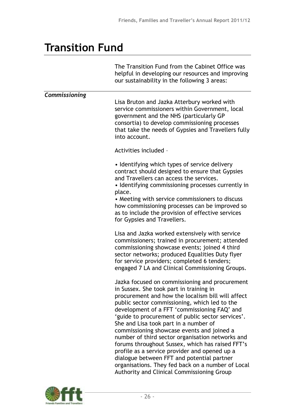### **Transition Fund**

|               | The Transition Fund from the Cabinet Office was<br>helpful in developing our resources and improving<br>our sustainability in the following 3 areas:                                                                                                                                                                                                                                                                                                                                                                                                                                                                                                                                                         |
|---------------|--------------------------------------------------------------------------------------------------------------------------------------------------------------------------------------------------------------------------------------------------------------------------------------------------------------------------------------------------------------------------------------------------------------------------------------------------------------------------------------------------------------------------------------------------------------------------------------------------------------------------------------------------------------------------------------------------------------|
| Commissioning | Lisa Bruton and Jazka Atterbury worked with<br>service commissioners within Government, local<br>government and the NHS (particularly GP<br>consortia) to develop commissioning processes<br>that take the needs of Gypsies and Travellers fully<br>into account.                                                                                                                                                                                                                                                                                                                                                                                                                                            |
|               | Activities included -                                                                                                                                                                                                                                                                                                                                                                                                                                                                                                                                                                                                                                                                                        |
|               | • Identifying which types of service delivery<br>contract should designed to ensure that Gypsies<br>and Travellers can access the services.<br>• Identifying commissioning processes currently in<br>place.<br>• Meeting with service commissioners to discuss<br>how commissioning processes can be improved so<br>as to include the provision of effective services                                                                                                                                                                                                                                                                                                                                        |
|               | for Gypsies and Travellers.                                                                                                                                                                                                                                                                                                                                                                                                                                                                                                                                                                                                                                                                                  |
|               | Lisa and Jazka worked extensively with service<br>commissioners; trained in procurement; attended<br>commissioning showcase events; joined 4 third<br>sector networks; produced Equalities Duty flyer<br>for service providers; completed 6 tenders;<br>engaged 7 LA and Clinical Commissioning Groups.                                                                                                                                                                                                                                                                                                                                                                                                      |
|               | Jazka focused on commissioning and procurement<br>in Sussex. She took part in training in<br>procurement and how the localism bill will affect<br>public sector commissioning, which led to the<br>development of a FFT 'commissioning FAQ' and<br>'guide to procurement of public sector services'.<br>She and Lisa took part in a number of<br>commissioning showcase events and joined a<br>number of third sector organisation networks and<br>forums throughout Sussex, which has raised FFT's<br>profile as a service provider and opened up a<br>dialogue between FFT and potential partner<br>organisations. They fed back on a number of Local<br><b>Authority and Clinical Commissioning Group</b> |

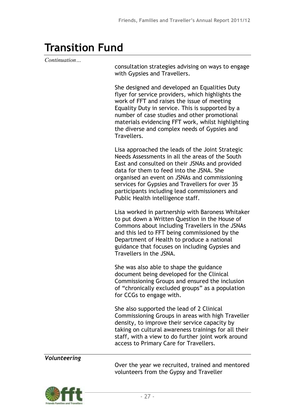### **Transition Fund**

*Continuation…*

consultation strategies advising on ways to engage with Gypsies and Travellers.

She designed and developed an Equalities Duty flyer for service providers, which highlights the work of FFT and raises the issue of meeting Equality Duty in service. This is supported by a number of case studies and other promotional materials evidencing FFT work, whilst highlighting the diverse and complex needs of Gypsies and Travellers.

Lisa approached the leads of the Joint Strategic Needs Assessments in all the areas of the South East and consulted on their JSNAs and provided data for them to feed into the JSNA. She organised an event on JSNAs and commissioning services for Gypsies and Travellers for over 35 participants including lead commissioners and Public Health intelligence staff.

Lisa worked in partnership with Baroness Whitaker to put down a Written Question in the House of Commons about including Travellers in the JSNAs and this led to FFT being commissioned by the Department of Health to produce a national guidance that focuses on including Gypsies and Travellers in the JSNA.

She was also able to shape the guidance document being developed for the Clinical Commissioning Groups and ensured the inclusion of "chronically excluded groups" as a population for CCGs to engage with.

She also supported the lead of 2 Clinical Commissioning Groups in areas with high Traveller density, to improve their service capacity by taking on cultural awareness trainings for all their staff, with a view to do further joint work around access to Primary Care for Travellers.

*Volunteering*

Over the year we recruited, trained and mentored volunteers from the Gypsy and Traveller

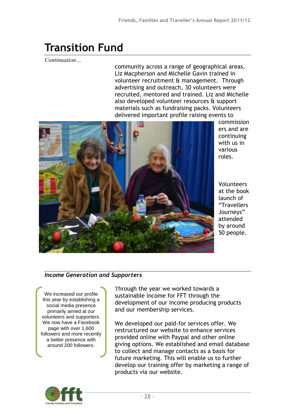## **Transition Fund**

*Continuation…*

community across a range of geographical areas. Liz Macpherson and Michelle Gavin trained in volunteer recruitment & management. Through advertising and outreach, 30 volunteers were recruited, mentored and trained. Liz and Michelle also developed volunteer resources & support materials such as fundraising packs. Volunteers delivered important profile raising events to



commission ers and are continuing with us in various roles.

Volunteers at the book launch of "Travellers Journeys" attended by around 50 people.

### *Income Generation and Supporters*

We increased our profile this year by establishing a social media presence primarily aimed at our volunteers and supporters. We now have a Facebook page with over 1,600 followers and more recently a twitter presence with around 200 followers.

Through the year we worked towards a sustainable income for FFT through the development of our income producing products and our membership services.

We developed our paid-for services offer. We restructured our website to enhance services provided online with Paypal and other online giving options. We established and email database to collect and manage contacts as a basis for future marketing. This will enable us to further develop our training offer by marketing a range of products via our website.



e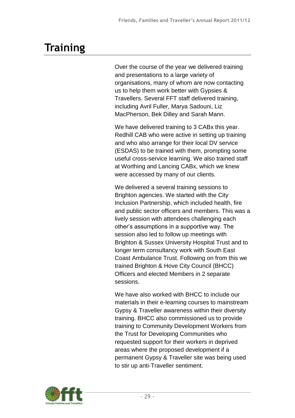# **Training**

Over the course of the year we delivered training and presentations to a large variety of organisations, many of whom are now contacting us to help them work better with Gypsies & Travellers. Several FFT staff delivered training, including Avril Fuller, Marya Sadouni, Liz MacPherson, Bek Dilley and Sarah Mann.

We have delivered training to 3 CABx this year. Redhill CAB who were active in setting up training and who also arrange for their local DV service (ESDAS) to be trained with them, prompting some useful cross-service learning. We also trained staff at Worthing and Lancing CABx, which we knew were accessed by many of our clients.

We delivered a several training sessions to Brighton agencies. We started with the City Inclusion Partnership, which included health, fire and public sector officers and members. This was a lively session with attendees challenging each other's assumptions in a supportive way. The session also led to follow up meetings with Brighton & Sussex University Hospital Trust and to longer term consultancy work with South East Coast Ambulance Trust. Following on from this we trained Brighton & Hove City Council (BHCC) Officers and elected Members in 2 separate sessions.

We have also worked with BHCC to include our materials in their e-learning courses to mainstream Gypsy & Traveller awareness within their diversity training. BHCC also commissioned us to provide training to Community Development Workers from the Trust for Developing Communities who requested support for their workers in deprived areas where the proposed development if a permanent Gypsy & Traveller site was being used to stir up anti-Traveller sentiment.

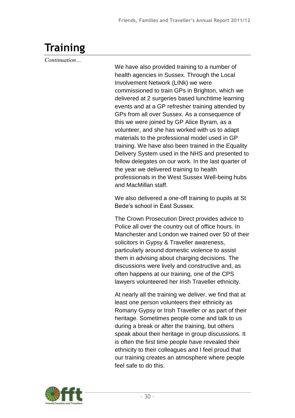# **Training**

*Continuation…*

We have also provided training to a number of health agencies in Sussex. Through the Local Involvement Network (LINk) we were commissioned to train GPs in Brighton, which we delivered at 2 surgeries based lunchtime learning events and at a GP refresher training attended by GPs from all over Sussex. As a consequence of this we were joined by GP Alice Byram, as a volunteer, and she has worked with us to adapt materials to the professional model used in GP training. We have also been trained in the Equality Delivery System used in the NHS and presented to fellow delegates on our work. In the last quarter of the year we delivered training to health professionals in the West Sussex Well-being hubs and MacMillan staff.

We also delivered a one-off training to pupils at St Bede's school in East Sussex.

The Crown Prosecution Direct provides advice to Police all over the country out of office hours. In Manchester and London we trained over 50 of their solicitors in Gypsy & Traveller awareness, particularly around domestic violence to assist them in advising about charging decisions. The discussions were lively and constructive and, as often happens at our training, one of the CPS lawyers volunteered her Irish Traveller ethnicity.

At nearly all the training we deliver, we find that at least one person volunteers their ethnicity as Romany Gypsy or Irish Traveller or as part of their heritage. Sometimes people come and talk to us during a break or after the training, but others speak about their heritage in group discussions. It is often the first time people have revealed their ethnicity to their colleagues and I feel proud that our training creates an atmosphere where people feel safe to do this.

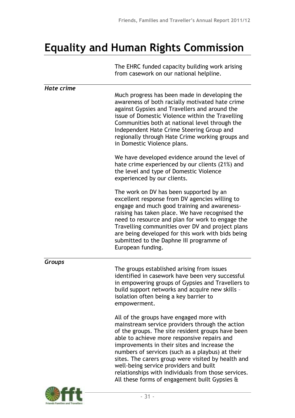# **Equality and Human Rights Commission**

The EHRC funded capacity building work arising from casework on our national helpline.

| Hate crime |                                                                                                                                                                                                                                                                                                                                                                                                                                                                                                                    |
|------------|--------------------------------------------------------------------------------------------------------------------------------------------------------------------------------------------------------------------------------------------------------------------------------------------------------------------------------------------------------------------------------------------------------------------------------------------------------------------------------------------------------------------|
|            | Much progress has been made in developing the<br>awareness of both racially motivated hate crime<br>against Gypsies and Travellers and around the<br>issue of Domestic Violence within the Travelling<br>Communities both at national level through the<br>Independent Hate Crime Steering Group and<br>regionally through Hate Crime working groups and<br>in Domestic Violence plans.                                                                                                                            |
|            | We have developed evidence around the level of<br>hate crime experienced by our clients (21%) and<br>the level and type of Domestic Violence<br>experienced by our clients.                                                                                                                                                                                                                                                                                                                                        |
|            | The work on DV has been supported by an<br>excellent response from DV agencies willing to<br>engage and much good training and awareness-<br>raising has taken place. We have recognised the<br>need to resource and plan for work to engage the<br>Travelling communities over DV and project plans<br>are being developed for this work with bids being<br>submitted to the Daphne III programme of<br>European funding.                                                                                         |
| Groups     |                                                                                                                                                                                                                                                                                                                                                                                                                                                                                                                    |
|            | The groups established arising from issues<br>identified in casework have been very successful<br>in empowering groups of Gypsies and Travellers to<br>build support networks and acquire new skills -<br>isolation often being a key barrier to<br>empowerment.                                                                                                                                                                                                                                                   |
|            | All of the groups have engaged more with<br>mainstream service providers through the action<br>of the groups. The site resident groups have been<br>able to achieve more responsive repairs and<br>improvements in their sites and increase the<br>numbers of services (such as a playbus) at their<br>sites. The carers group were visited by health and<br>well-being service providers and built<br>relationships with individuals from those services.<br>All these forms of engagement built Gypsies $\alpha$ |

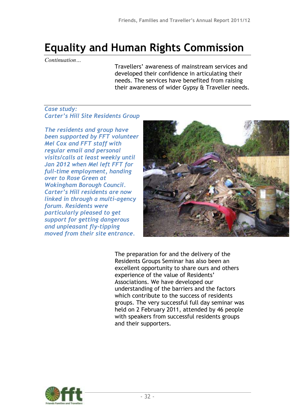# **Equality and Human Rights Commission**

*Continuation…*

Travellers' awareness of mainstream services and developed their confidence in articulating their needs. The services have benefited from raising their awareness of wider Gypsy & Traveller needs.

### *Case study: Carter's Hill Site Residents Group*

*The residents and group have been supported by FFT volunteer Mel Cox and FFT staff with regular email and personal visits/calls at least weekly until Jan 2012 when Mel left FFT for full-time employment, handing over to Rose Green at Wokingham Borough Council. Carter's Hill residents are now linked in through a multi-agency forum. Residents were particularly pleased to get support for getting dangerous and unpleasant fly-tipping moved from their site entrance.*



The preparation for and the delivery of the Residents Groups Seminar has also been an excellent opportunity to share ours and others experience of the value of Residents' Associations. We have developed our understanding of the barriers and the factors which contribute to the success of residents groups. The very successful full day seminar was held on 2 February 2011, attended by 46 people with speakers from successful residents groups and their supporters.

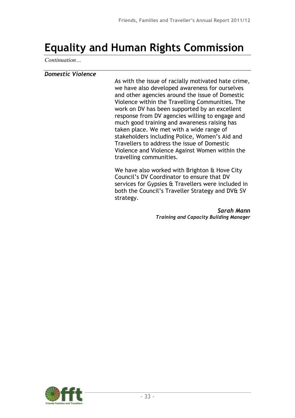## **Equality and Human Rights Commission**

*Continuation…*

#### *Domestic Violence*

As with the issue of racially motivated hate crime, we have also developed awareness for ourselves and other agencies around the issue of Domestic Violence within the Travelling Communities. The work on DV has been supported by an excellent response from DV agencies willing to engage and much good training and awareness raising has taken place. We met with a wide range of stakeholders including Police, Women's Aid and Travellers to address the issue of Domestic Violence and Violence Against Women within the travelling communities.

We have also worked with Brighton & Hove City Council's DV Coordinator to ensure that DV services for Gypsies & Travellers were included in both the Council's Traveller Strategy and DV& SV strategy.

> *Sarah Mann Training and Capacity Building Manager*

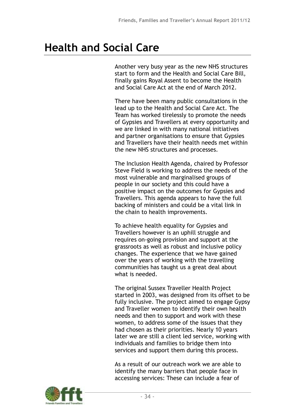Another very busy year as the new NHS structures start to form and the Health and Social Care Bill, finally gains Royal Assent to become the Health and Social Care Act at the end of March 2012.

There have been many public consultations in the lead up to the Health and Social Care Act. The Team has worked tirelessly to promote the needs of Gypsies and Travellers at every opportunity and we are linked in with many national initiatives and partner organisations to ensure that Gypsies and Travellers have their health needs met within the new NHS structures and processes.

The Inclusion Health Agenda, chaired by Professor Steve Field is working to address the needs of the most vulnerable and marginalised groups of people in our society and this could have a positive impact on the outcomes for Gypsies and Travellers. This agenda appears to have the full backing of ministers and could be a vital link in the chain to health improvements.

To achieve health equality for Gypsies and Travellers however is an uphill struggle and requires on-going provision and support at the grassroots as well as robust and inclusive policy changes. The experience that we have gained over the years of working with the travelling communities has taught us a great deal about what is needed.

The original Sussex Traveller Health Project started in 2003, was designed from its offset to be fully inclusive. The project aimed to engage Gypsy and Traveller women to identify their own health needs and then to support and work with these women, to address some of the issues that they had chosen as their priorities. Nearly 10 years later we are still a client led service, working with individuals and families to bridge them into services and support them during this process.

As a result of our outreach work we are able to identify the many barriers that people face in accessing services: These can include a fear of

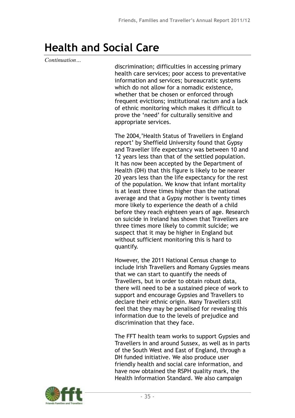*Continuation…*

discrimination; difficulties in accessing primary health care services; poor access to preventative information and services; bureaucratic systems which do not allow for a nomadic existence, whether that be chosen or enforced through frequent evictions; institutional racism and a lack of ethnic monitoring which makes it difficult to prove the 'need' for culturally sensitive and appropriate services.

The 2004,'Health Status of Travellers in England report' by Sheffield University found that Gypsy and Traveller life expectancy was between 10 and 12 years less than that of the settled population. It has now been accepted by the Department of Health (DH) that this figure is likely to be nearer 20 years less than the life expectancy for the rest of the population. We know that infant mortality is at least three times higher than the national average and that a Gypsy mother is twenty times more likely to experience the death of a child before they reach eighteen years of age. Research on suicide in Ireland has shown that Travellers are three times more likely to commit suicide; we suspect that it may be higher in England but without sufficient monitoring this is hard to quantify.

However, the 2011 National Census change to include Irish Travellers and Romany Gypsies means that we can start to quantify the needs of Travellers, but in order to obtain robust data, there will need to be a sustained piece of work to support and encourage Gypsies and Travellers to declare their ethnic origin. Many Travellers still feel that they may be penalised for revealing this information due to the levels of prejudice and discrimination that they face.

The FFT health team works to support Gypsies and Travellers in and around Sussex, as well as in parts of the South West and East of England, through a DH funded initiative. We also produce user friendly health and social care information, and have now obtained the RSPH quality mark, the Health Information Standard. We also campaign

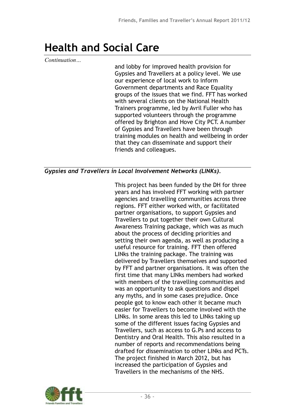*Continuation…*

and lobby for improved health provision for Gypsies and Travellers at a policy level. We use our experience of local work to inform Government departments and Race Equality groups of the issues that we find. FFT has worked with several clients on the National Health Trainers programme, led by Avril Fuller who has supported volunteers through the programme offered by Brighton and Hove City PCT. A number of Gypsies and Travellers have been through training modules on health and wellbeing in order that they can disseminate and support their friends and colleagues.

### *Gypsies and Travellers in Local Involvement Networks (LINKs).*

This project has been funded by the DH for three years and has involved FFT working with partner agencies and travelling communities across three regions. FFT either worked with, or facilitated partner organisations, to support Gypsies and Travellers to put together their own Cultural Awareness Training package, which was as much about the process of deciding priorities and setting their own agenda, as well as producing a useful resource for training. FFT then offered LINks the training package. The training was delivered by Travellers themselves and supported by FFT and partner organisations. It was often the first time that many LINks members had worked with members of the travelling communities and was an opportunity to ask questions and dispel any myths, and in some cases prejudice. Once people got to know each other it became much easier for Travellers to become involved with the LINks. In some areas this led to LINks taking up some of the different issues facing Gypsies and Travellers, such as access to G.Ps and access to Dentistry and Oral Health. This also resulted in a number of reports and recommendations being drafted for dissemination to other LINks and PCTs. The project finished in March 2012, but has increased the participation of Gypsies and Travellers in the mechanisms of the NHS.

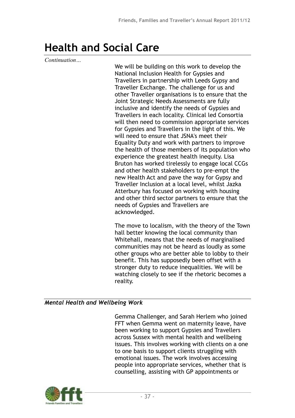*Continuation…*

We will be building on this work to develop the National Inclusion Health for Gypsies and Travellers in partnership with Leeds Gypsy and Traveller Exchange. The challenge for us and other Traveller organisations is to ensure that the Joint Strategic Needs Assessments are fully inclusive and identify the needs of Gypsies and Travellers in each locality. Clinical led Consortia will then need to commission appropriate services for Gypsies and Travellers in the light of this. We will need to ensure that JSNA's meet their Equality Duty and work with partners to improve the health of those members of its population who experience the greatest health inequity. Lisa Bruton has worked tirelessly to engage local CCGs and other health stakeholders to pre-empt the new Health Act and pave the way for Gypsy and Traveller Inclusion at a local level, whilst Jazka Atterbury has focused on working with housing and other third sector partners to ensure that the needs of Gypsies and Travellers are acknowledged.

The move to localism, with the theory of the Town hall better knowing the local community than Whitehall, means that the needs of marginalised communities may not be heard as loudly as some other groups who are better able to lobby to their benefit. This has supposedly been offset with a stronger duty to reduce inequalities. We will be watching closely to see if the rhetoric becomes a reality.

### *Mental Health and Wellbeing Work*

Gemma Challenger, and Sarah Herlem who joined FFT when Gemma went on maternity leave, have been working to support Gypsies and Travellers across Sussex with mental health and wellbeing issues. This involves working with clients on a one to one basis to support clients struggling with emotional issues. The work involves accessing people into appropriate services, whether that is counselling, assisting with GP appointments or

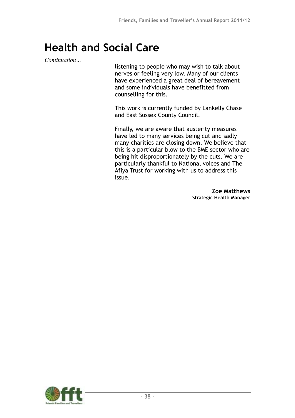*Continuation…*

listening to people who may wish to talk about nerves or feeling very low. Many of our clients have experienced a great deal of bereavement and some individuals have benefitted from counselling for this.

This work is currently funded by Lankelly Chase and East Sussex County Council.

Finally, we are aware that austerity measures have led to many services being cut and sadly many charities are closing down. We believe that this is a particular blow to the BME sector who are being hit disproportionately by the cuts. We are particularly thankful to National voices and The Afiya Trust for working with us to address this issue.

> **Zoe Matthews Strategic Health Manager**

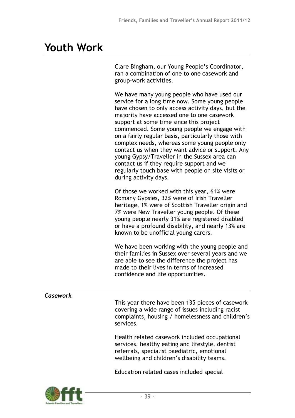## **Youth Work**

Clare Bingham, our Young People's Coordinator, ran a combination of one to one casework and group-work activities.

We have many young people who have used our service for a long time now. Some young people have chosen to only access activity days, but the majority have accessed one to one casework support at some time since this project commenced. Some young people we engage with on a fairly regular basis, particularly those with complex needs, whereas some young people only contact us when they want advice or support. Any young Gypsy/Traveller in the Sussex area can contact us if they require support and we regularly touch base with people on site visits or during activity days.

Of those we worked with this year, 61% were Romany Gypsies, 32% were of Irish Traveller heritage, 1% were of Scottish Traveller origin and 7% were New Traveller young people. Of these young people nearly 31% are registered disabled or have a profound disability, and nearly 13% are known to be unofficial young carers.

We have been working with the young people and their families in Sussex over several years and we are able to see the difference the project has made to their lives in terms of increased confidence and life opportunities.

### *Casework*

This year there have been 135 pieces of casework covering a wide range of issues including racist complaints, housing / homelessness and children's services.

Health related casework included occupational services, healthy eating and lifestyle, dentist referrals, specialist paediatric, emotional wellbeing and children's disability teams.

Education related cases included special

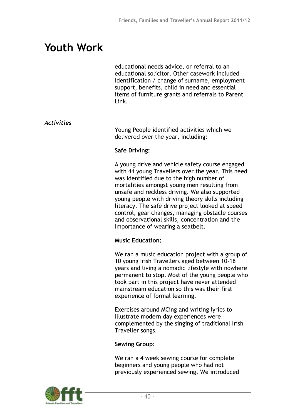## **Youth Work**

educational needs advice, or referral to an educational solicitor. Other casework included identification / change of surname, employment support, benefits, child in need and essential items of furniture grants and referrals to Parent Link.

### *Activities*

Young People identified activities which we delivered over the year, including:

#### **Safe Driving:**

A young drive and vehicle safety course engaged with 44 young Travellers over the year. This need was identified due to the high number of mortalities amongst young men resulting from unsafe and reckless driving. We also supported young people with driving theory skills including literacy. The safe drive project looked at speed control, gear changes, managing obstacle courses and observational skills, concentration and the importance of wearing a seatbelt.

#### **Music Education:**

We ran a music education project with a group of 10 young Irish Travellers aged between 10-18 years and living a nomadic lifestyle with nowhere permanent to stop. Most of the young people who took part in this project have never attended mainstream education so this was their first experience of formal learning.

Exercises around MCing and writing lyrics to illustrate modern day experiences were complemented by the singing of traditional Irish Traveller songs.

#### **Sewing Group:**

We ran a 4 week sewing course for complete beginners and young people who had not previously experienced sewing. We introduced

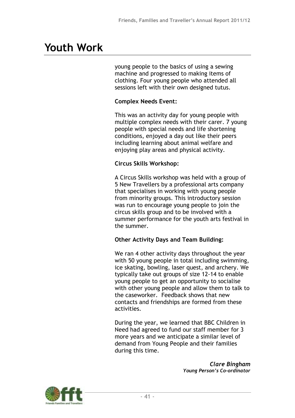# **Youth Work**

young people to the basics of using a sewing machine and progressed to making items of clothing. Four young people who attended all sessions left with their own designed tutus.

### **Complex Needs Event:**

This was an activity day for young people with multiple complex needs with their carer. 7 young people with special needs and life shortening conditions, enjoyed a day out like their peers including learning about animal welfare and enjoying play areas and physical activity.

### **Circus Skills Workshop:**

A Circus Skills workshop was held with a group of 5 New Travellers by a professional arts company that specialises in working with young people from minority groups. This introductory session was run to encourage young people to join the circus skills group and to be involved with a summer performance for the youth arts festival in the summer.

### **Other Activity Days and Team Building:**

We ran 4 other activity days throughout the year with 50 young people in total including swimming, ice skating, bowling, laser quest, and archery. We typically take out groups of size 12-14 to enable young people to get an opportunity to socialise with other young people and allow them to talk to the caseworker. Feedback shows that new contacts and friendships are formed from these activities.

During the year, we learned that BBC Children in Need had agreed to fund our staff member for 3 more years and we anticipate a similar level of demand from Young People and their families during this time.

> *Clare Bingham Young Person's Co-ordinator*

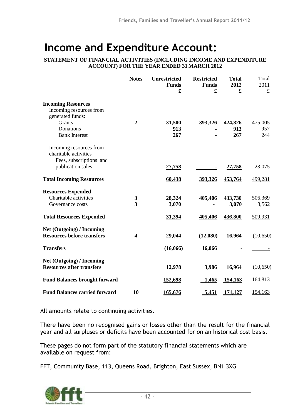### **Income and Expenditure Account:**

#### **STATEMENT OF FINANCIAL ACTIVITIES (INCLUDING INCOME AND EXPENDITURE ACCOUNT) FOR THE YEAR ENDED 31 MARCH 2012**

|                                      | <b>Notes</b>            | <b>Unrestricted</b><br><b>Funds</b><br>£ | <b>Restricted</b><br><b>Funds</b><br>£ | <b>Total</b><br>2012<br>£ | Total<br>2011<br>£ |
|--------------------------------------|-------------------------|------------------------------------------|----------------------------------------|---------------------------|--------------------|
| <b>Incoming Resources</b>            |                         |                                          |                                        |                           |                    |
| Incoming resources from              |                         |                                          |                                        |                           |                    |
| generated funds:                     |                         |                                          |                                        |                           |                    |
| Grants                               | $\overline{2}$          | 31,500                                   | 393,326                                | 424,826                   | 475,005            |
| Donations                            |                         | 913                                      |                                        | 913                       | 957                |
| <b>Bank Interest</b>                 |                         | 267                                      |                                        | 267                       | 244                |
| Incoming resources from              |                         |                                          |                                        |                           |                    |
| charitable activities                |                         |                                          |                                        |                           |                    |
| Fees, subscriptions and              |                         |                                          |                                        |                           |                    |
| publication sales                    |                         | <u>27,758</u>                            |                                        | <u>27,758</u>             | 23,075             |
|                                      |                         |                                          |                                        |                           |                    |
| <b>Total Incoming Resources</b>      |                         | 60,438                                   | 393,326                                | 453,764                   | 499,281            |
| <b>Resources Expended</b>            |                         |                                          |                                        |                           |                    |
| Charitable activities                | 3                       | 28,324                                   | 405,406                                | 433,730                   | 506,369            |
| Governance costs                     | 3                       | 3,070                                    |                                        | 3,070                     | 3,562              |
| <b>Total Resources Expended</b>      |                         | 31,394                                   | 405,406                                | 436,800                   | 509,931            |
| Net (Outgoing) / Incoming            |                         |                                          |                                        |                           |                    |
| <b>Resources before transfers</b>    | $\overline{\mathbf{4}}$ | 29,044                                   | (12,080)                               | 16,964                    | (10,650)           |
| <b>Transfers</b>                     |                         | (16,066)                                 | 16,066                                 |                           |                    |
| <b>Net (Outgoing) / Incoming</b>     |                         |                                          |                                        |                           |                    |
| <b>Resources after transfers</b>     |                         | 12,978                                   | 3,986                                  | 16,964                    | (10,650)           |
| <b>Fund Balances brought forward</b> |                         | 152,698                                  | 1,465                                  | 154,163                   | 164,813            |
| <b>Fund Balances carried forward</b> | 10                      | 165,676                                  | 5,451                                  | <u>171,127</u>            | 154,163            |

All amounts relate to continuing activities.

There have been no recognised gains or losses other than the result for the financial year and all surpluses or deficits have been accounted for on an historical cost basis.

These pages do not form part of the statutory financial statements which are available on request from:

FFT, Community Base, 113, Queens Road, Brighton, East Sussex, BN1 3XG

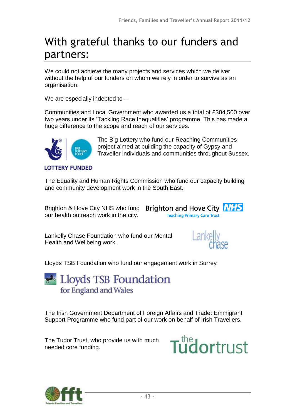# With grateful thanks to our funders and partners:

We could not achieve the many projects and services which we deliver without the help of our funders on whom we rely in order to survive as an organisation.

We are especially indebted to –

Communities and Local Government who awarded us a total of £304,500 over two years under its 'Tackling Race Inequalities' programme. This has made a huge difference to the scope and reach of our services.



The Big Lottery who fund our Reaching Communities project aimed at building the capacity of Gypsy and Traveller individuals and communities throughout Sussex.

The Equality and Human Rights Commission who fund our capacity building and community development work in the South East.

Brighton & Hove City NHS who fund Brighton and Hove City NHS our health outreach work in the city.

**Teaching Primary Care Trust** 

Lankelly Chase Foundation who fund our Mental Health and Wellbeing work.



Lloyds TSB Foundation who fund our engagement work in Surrey

Lloyds TSB Foundation for England and Wales

The Irish Government Department of Foreign Affairs and Trade: Emmigrant Support Programme who fund part of our work on behalf of Irish Travellers.

The Tudor Trust, who provide us with much needed core funding.